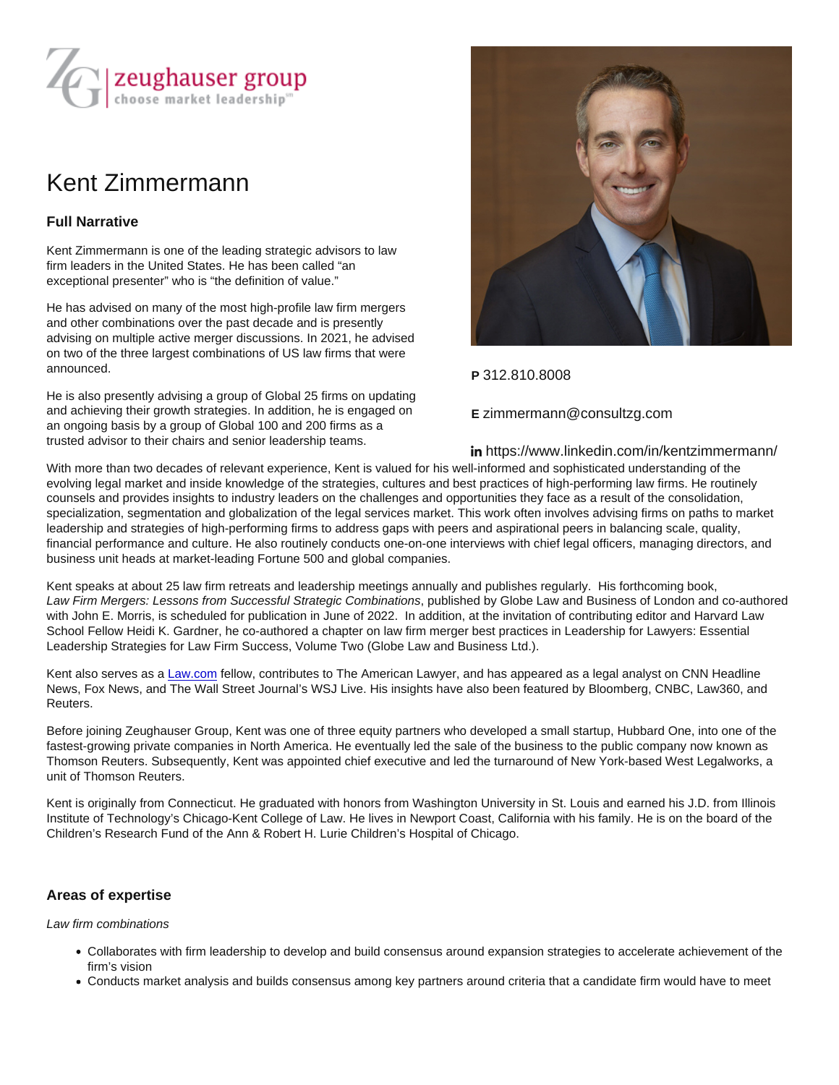# Kent Zimmermann

## Full Narrative

Kent Zimmermann is one of the leading strategic advisors to law firm leaders in the United States. He has been called "an exceptional presenter" who is "the definition of value."

He has advised on many of the most high-profile law firm mergers and other combinations over the past decade and is presently advising on multiple active merger discussions. In 2021, he advised on two of the three largest combinations of US law firms that were announced.

He is also presently advising a group of Global 25 firms on updating and achieving their growth strategies. In addition, he is engaged on an ongoing basis by a group of Global 100 and 200 firms as a trusted advisor to their chairs and senior leadership teams.

## P 312.810.8008

#### E zimmermann@consultzg.com

#### https://www.linkedin.com/in/kentzimmermann/

With more than two decades of relevant experience, Kent is valued for his well-informed and sophisticated understanding of the evolving legal market and inside knowledge of the strategies, cultures and best practices of high-performing law firms. He routinely counsels and provides insights to industry leaders on the challenges and opportunities they face as a result of the consolidation, specialization, segmentation and globalization of the legal services market. This work often involves advising firms on paths to market leadership and strategies of high-performing firms to address gaps with peers and aspirational peers in balancing scale, quality, financial performance and culture. He also routinely conducts one-on-one interviews with chief legal officers, managing directors, and business unit heads at market-leading Fortune 500 and global companies.

Kent speaks at about 25 law firm retreats and leadership meetings annually and publishes regularly. His forthcoming book, Law Firm Mergers: Lessons from Successful Strategic Combinations, published by Globe Law and Business of London and co-authored with John E. Morris, is scheduled for publication in June of 2022. In addition, at the invitation of contributing editor and Harvard Law School Fellow Heidi K. Gardner, he co-authored a chapter on law firm merger best practices in Leadership for Lawyers: Essential Leadership Strategies for Law Firm Success, Volume Two (Globe Law and Business Ltd.).

Kent also serves as a [Law.com](http://law.com/) fellow, contributes to The American Lawyer, and has appeared as a legal analyst on CNN Headline News, Fox News, and The Wall Street Journal's WSJ Live. His insights have also been featured by Bloomberg, CNBC, Law360, and Reuters.

Before joining Zeughauser Group, Kent was one of three equity partners who developed a small startup, Hubbard One, into one of the fastest-growing private companies in North America. He eventually led the sale of the business to the public company now known as Thomson Reuters. Subsequently, Kent was appointed chief executive and led the turnaround of New York-based West Legalworks, a unit of Thomson Reuters.

Kent is originally from Connecticut. He graduated with honors from Washington University in St. Louis and earned his J.D. from Illinois Institute of Technology's Chicago-Kent College of Law. He lives in Newport Coast, California with his family. He is on the board of the Children's Research Fund of the Ann & Robert H. Lurie Children's Hospital of Chicago.

## Areas of expertise

Law firm combinations

- Collaborates with firm leadership to develop and build consensus around expansion strategies to accelerate achievement of the firm's vision
- Conducts market analysis and builds consensus among key partners around criteria that a candidate firm would have to meet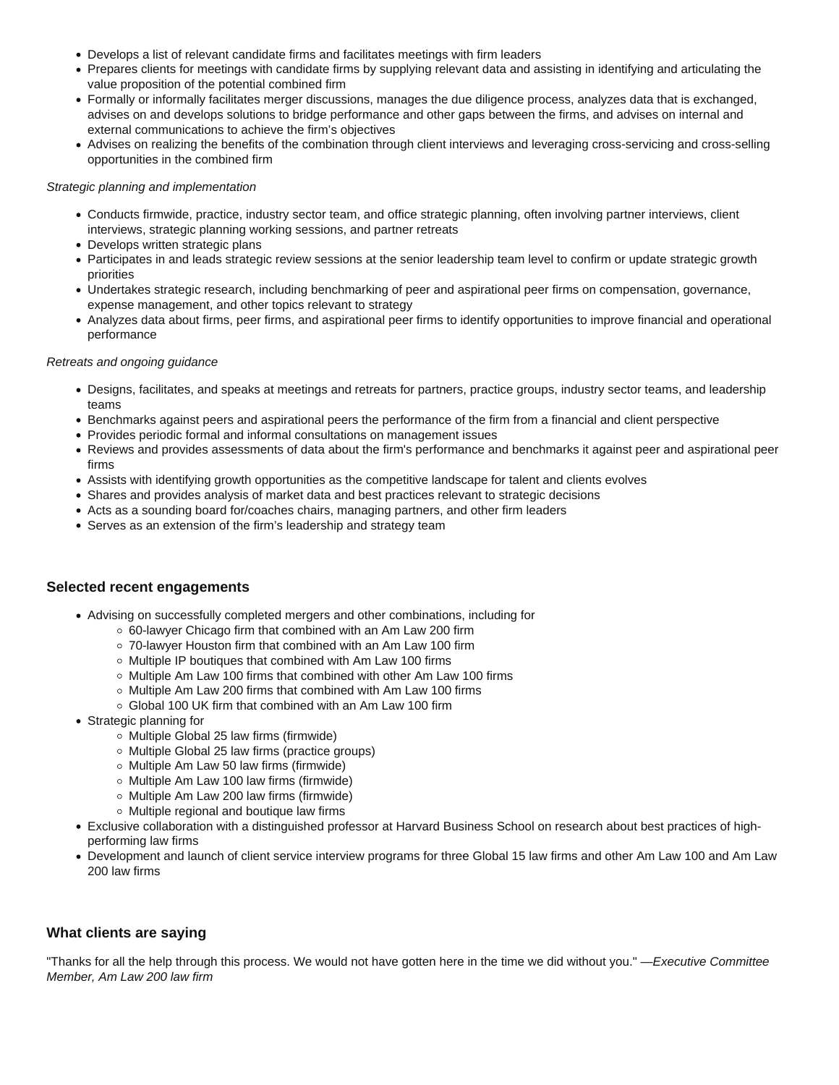- Develops a list of relevant candidate firms and facilitates meetings with firm leaders
- Prepares clients for meetings with candidate firms by supplying relevant data and assisting in identifying and articulating the value proposition of the potential combined firm
- Formally or informally facilitates merger discussions, manages the due diligence process, analyzes data that is exchanged, advises on and develops solutions to bridge performance and other gaps between the firms, and advises on internal and external communications to achieve the firm's objectives
- Advises on realizing the benefits of the combination through client interviews and leveraging cross-servicing and cross-selling opportunities in the combined firm

#### Strategic planning and implementation

- Conducts firmwide, practice, industry sector team, and office strategic planning, often involving partner interviews, client interviews, strategic planning working sessions, and partner retreats
- Develops written strategic plans
- Participates in and leads strategic review sessions at the senior leadership team level to confirm or update strategic growth priorities
- Undertakes strategic research, including benchmarking of peer and aspirational peer firms on compensation, governance, expense management, and other topics relevant to strategy
- Analyzes data about firms, peer firms, and aspirational peer firms to identify opportunities to improve financial and operational performance

#### Retreats and ongoing guidance

- Designs, facilitates, and speaks at meetings and retreats for partners, practice groups, industry sector teams, and leadership teams
- Benchmarks against peers and aspirational peers the performance of the firm from a financial and client perspective
- Provides periodic formal and informal consultations on management issues
- Reviews and provides assessments of data about the firm's performance and benchmarks it against peer and aspirational peer firms
- Assists with identifying growth opportunities as the competitive landscape for talent and clients evolves
- Shares and provides analysis of market data and best practices relevant to strategic decisions
- Acts as a sounding board for/coaches chairs, managing partners, and other firm leaders
- Serves as an extension of the firm's leadership and strategy team

## **Selected recent engagements**

- Advising on successfully completed mergers and other combinations, including for
	- 60-lawyer Chicago firm that combined with an Am Law 200 firm
	- 70-lawyer Houston firm that combined with an Am Law 100 firm
	- $\circ$  Multiple IP boutiques that combined with Am Law 100 firms
	- $\circ$  Multiple Am Law 100 firms that combined with other Am Law 100 firms
	- $\circ$  Multiple Am Law 200 firms that combined with Am Law 100 firms
	- Global 100 UK firm that combined with an Am Law 100 firm
- Strategic planning for
	- o Multiple Global 25 law firms (firmwide)
	- Multiple Global 25 law firms (practice groups)
	- Multiple Am Law 50 law firms (firmwide)
	- Multiple Am Law 100 law firms (firmwide)
	- Multiple Am Law 200 law firms (firmwide)
	- Multiple regional and boutique law firms
- Exclusive collaboration with a distinguished professor at Harvard Business School on research about best practices of highperforming law firms
- Development and launch of client service interview programs for three Global 15 law firms and other Am Law 100 and Am Law 200 law firms

## **What clients are saying**

"Thanks for all the help through this process. We would not have gotten here in the time we did without you." —Executive Committee Member, Am Law 200 law firm